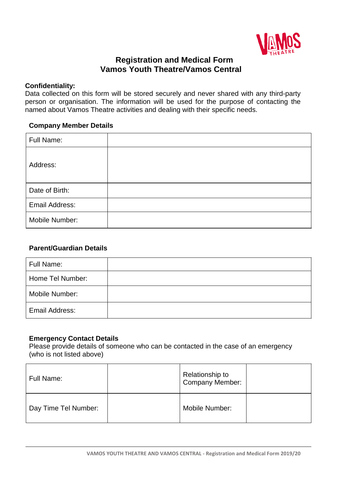

# **Registration and Medical Form Vamos Youth Theatre/Vamos Central**

#### **Confidentiality:**

Data collected on this form will be stored securely and never shared with any third-party person or organisation. The information will be used for the purpose of contacting the named about Vamos Theatre activities and dealing with their specific needs.

#### **Company Member Details**

| Full Name:     |  |
|----------------|--|
| Address:       |  |
| Date of Birth: |  |
| Email Address: |  |
| Mobile Number: |  |

## **Parent/Guardian Details**

| Full Name:            |  |
|-----------------------|--|
| Home Tel Number:      |  |
| Mobile Number:        |  |
| <b>Email Address:</b> |  |

## **Emergency Contact Details**

Please provide details of someone who can be contacted in the case of an emergency (who is not listed above)

| Full Name:           | Relationship to<br>Company Member: |  |
|----------------------|------------------------------------|--|
| Day Time Tel Number: | Mobile Number:                     |  |